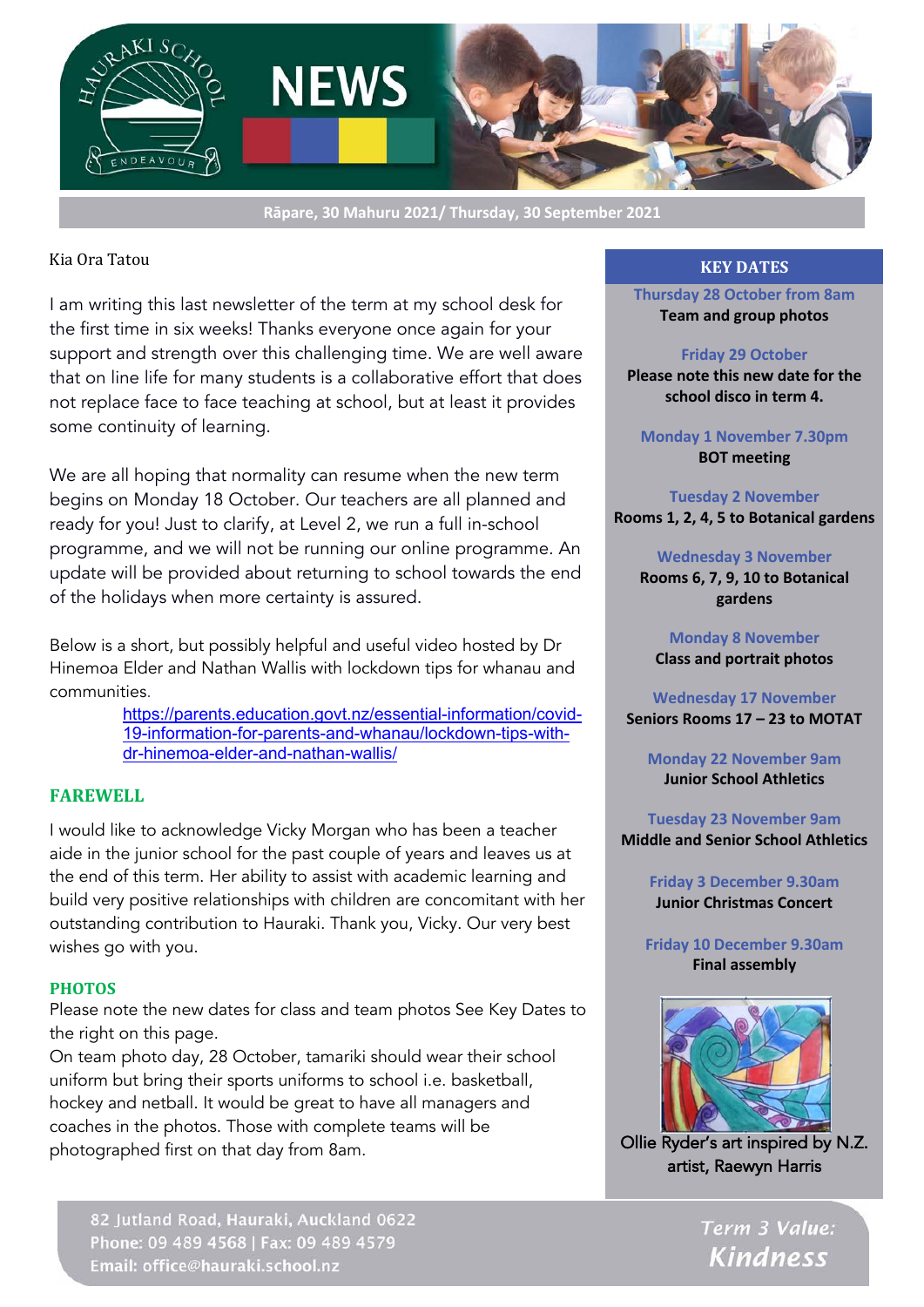

**Rāpare, 30 Mahuru 2021/ Thursday, 30 September 2021**

#### Kia Ora Tatou

I am writing this last newsletter of the term at my school desk for the first time in six weeks! Thanks everyone once again for your support and strength over this challenging time. We are well aware that on line life for many students is a collaborative effort that does not replace face to face teaching at school, but at least it provides some continuity of learning.

We are all hoping that normality can resume when the new term begins on Monday 18 October. Our teachers are all planned and ready for you! Just to clarify, at Level 2, we run a full in-school programme, and we will not be running our online programme. An update will be provided about returning to school towards the end of the holidays when more certainty is assured.

Below is a short, but possibly helpful and useful video hosted by Dr Hinemoa Elder and Nathan Wallis with lockdown tips for whanau and communities.

> https://parents.education.govt.nz/essential-information/covid-19-information-for-parents-and-whanau/lockdown-tips-withdr-hinemoa-elder-and-nathan-wallis/

## **FAREWELL**

I would like to acknowledge Vicky Morgan who has been a teacher aide in the junior school for the past couple of years and leaves us at the end of this term. Her ability to assist with academic learning and build very positive relationships with children are concomitant with her outstanding contribution to Hauraki. Thank you, Vicky. Our very best wishes go with you.

#### **PHOTOS**

Please note the new dates for class and team photos See Key Dates to the right on this page.

On team photo day, 28 October, tamariki should wear their school uniform but bring their sports uniforms to school i.e. basketball, hockey and netball. It would be great to have all managers and coaches in the photos. Those with complete teams will be photographed first on that day from 8am.

82 Jutland Road, Hauraki, Auckland 0622 Phone: 09 489 4568 | Fax: 09 489 4579 Email: office@hauraki.school.nz

#### **KEY DATES**

**Thursday 28 October from 8am Team and group photos**

#### **Friday 29 October**

**Please note this new date for the school disco in term 4.**

**Monday 1 November 7.30pm BOT meeting**

**Tuesday 2 November Rooms 1, 2, 4, 5 to Botanical gardens**

**Wednesday 3 November Rooms 6, 7, 9, 10 to Botanical gardens**

**Monday 8 November Class and portrait photos**

**Wednesday 17 November Seniors Rooms 17 – 23 to MOTAT**

**Monday 22 November 9am Junior School Athletics**

**Tuesday 23 November 9am Middle and Senior School Athletics**

> **Friday 3 December 9.30am Junior Christmas Concert**

**Friday 10 December 9.30am Final assembly**



Ollie Ryder's art inspired by N.Z. artist, Raewyn Harris

> Term 3 Value: **Kindness**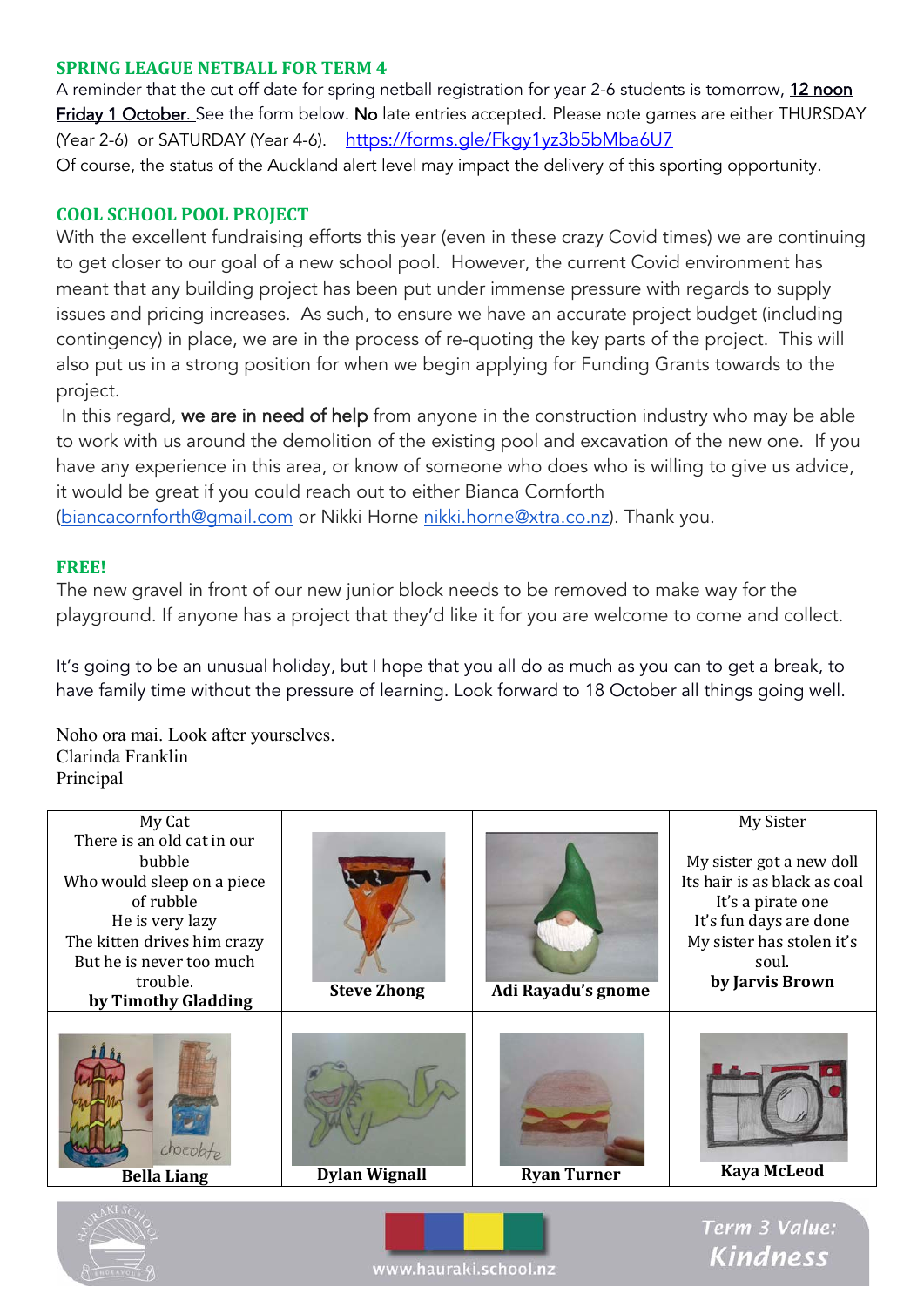## **SPRING LEAGUE NETBALL FOR TERM 4**

A reminder that the cut off date for spring netball registration for year 2-6 students is tomorrow, 12 noon Friday 1 October. See the form below. No late entries accepted. Please note games are either THURSDAY (Year 2-6) or SATURDAY (Year 4-6). https://forms.gle/Fkgy1yz3b5bMba6U7 Of course, the status of the Auckland alert level may impact the delivery of this sporting opportunity.

## **COOL SCHOOL POOL PROJECT**

With the excellent fundraising efforts this year (even in these crazy Covid times) we are continuing to get closer to our goal of a new school pool. However, the current Covid environment has meant that any building project has been put under immense pressure with regards to supply issues and pricing increases. As such, to ensure we have an accurate project budget (including contingency) in place, we are in the process of re-quoting the key parts of the project. This will also put us in a strong position for when we begin applying for Funding Grants towards to the project.

In this regard, we are in need of help from anyone in the construction industry who may be able to work with us around the demolition of the existing pool and excavation of the new one. If you have any experience in this area, or know of someone who does who is willing to give us advice, it would be great if you could reach out to either Bianca Cornforth

(biancacornforth@gmail.com or Nikki Horne nikki.horne@xtra.co.nz). Thank you.

## **FREE!**

The new gravel in front of our new junior block needs to be removed to make way for the playground. If anyone has a project that they'd like it for you are welcome to come and collect.

It's going to be an unusual holiday, but I hope that you all do as much as you can to get a break, to have family time without the pressure of learning. Look forward to 18 October all things going well.

Noho ora mai. Look after yourselves. Clarinda Franklin Principal







Term 3 Value: **Kindness**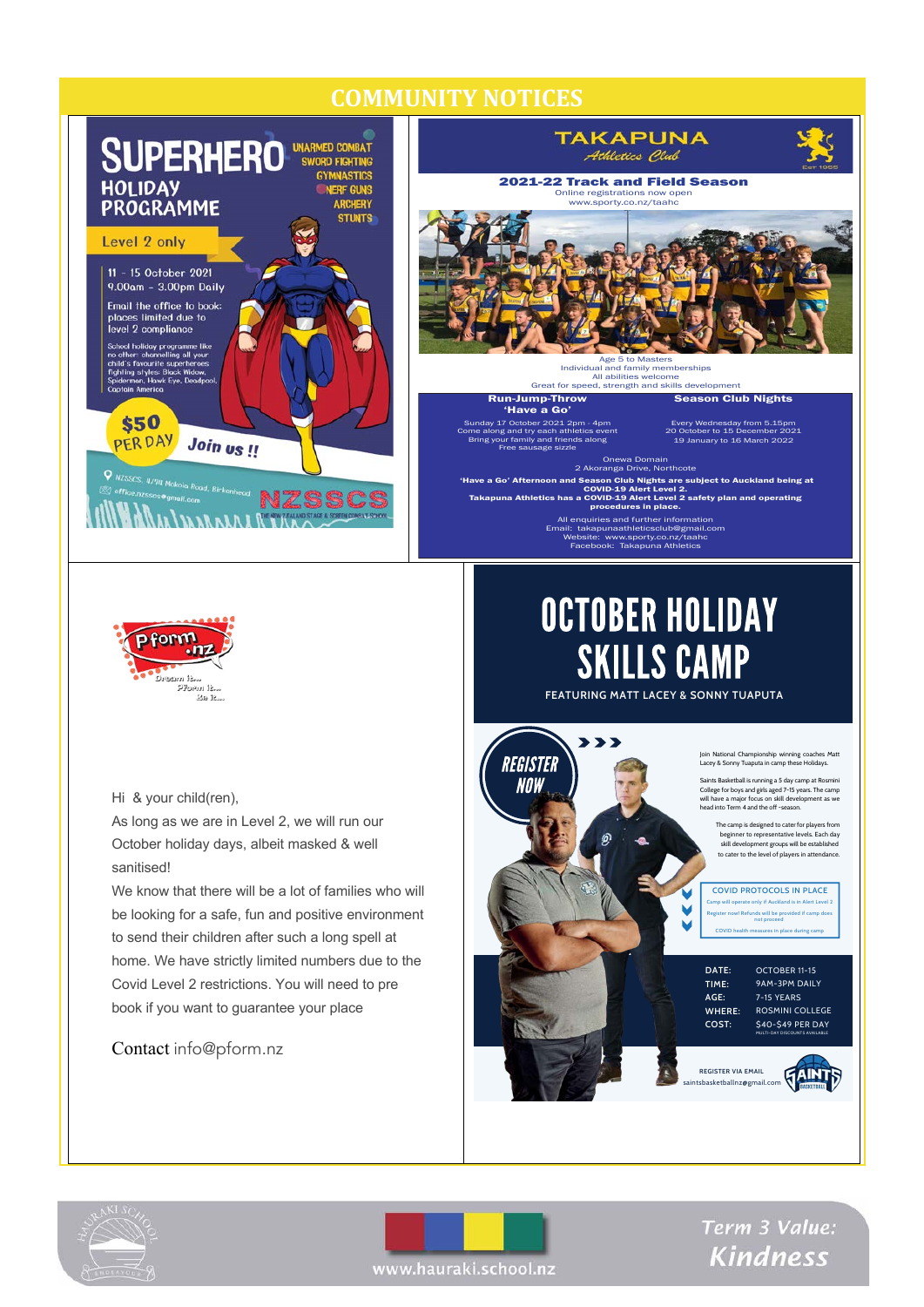## **COMMUNITY NOTICES**







Hi & your child(ren),

As long as we are in Level 2, we will run our October holiday days, albeit masked & well sanitised!

We know that there will be a lot of families who will be looking for a safe, fun and positive environment to send their children after such a long spell at home. We have strictly limited numbers due to the Covid Level 2 restrictions. You will need to pre book if you want to guarantee your place

## Contact info@pform.nz

# **OCTOBER HOLIDAY SKILLS CAMP**

Website: www.sporty.co.nz/taahc Facebook: Takapuna Athletics

**FEATURING MATT LACEY & SONNY TUAPUTA** 







Term 3 Value: **Kindness** 

www.hauraki.school.nz